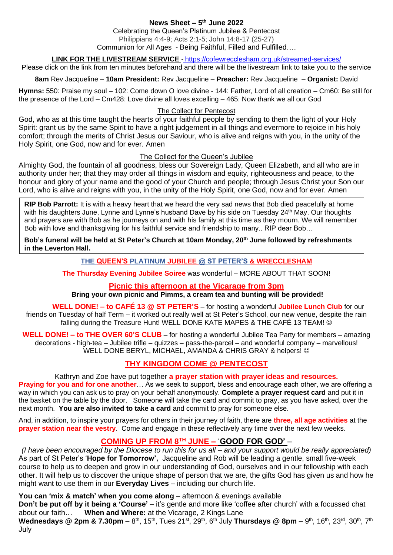### **News Sheet – 5 th June 2022** Celebrating the Queen's Platinum Jubilee & Pentecost Philippians 4:4-9; Acts 2:1-5; John 14:8-17 (25-27) Communion for All Ages - Being Faithful, Filled and Fulfilled….

**LINK FOR THE LIVESTREAM SERVICE** - <https://cofewrecclesham.org.uk/streamed-services/>

Please click on the link from ten minutes beforehand and there will be the livestream link to take you to the service

**8am** Rev Jacqueline – **10am President:** Rev Jacqueline – **Preacher:** Rev Jacqueline – **Organist:** David

**Hymns:** 550: Praise my soul – 102: Come down O love divine - 144: Father, Lord of all creation – Cm60: Be still for the presence of the Lord – Cm428: Love divine all loves excelling – 465: Now thank we all our God

#### The Collect for Pentecost

God, who as at this time taught the hearts of your faithful people by sending to them the light of your Holy Spirit: grant us by the same Spirit to have a right judgement in all things and evermore to rejoice in his holy comfort; through the merits of Christ Jesus our Saviour, who is alive and reigns with you, in the unity of the Holy Spirit, one God, now and for ever. Amen

#### The Collect for the Queen's Jubilee

Almighty God, the fountain of all goodness, bless our Sovereign Lady, Queen Elizabeth, and all who are in authority under her; that they may order all things in wisdom and equity, righteousness and peace, to the honour and glory of your name and the good of your Church and people; through Jesus Christ your Son our Lord, who is alive and reigns with you, in the unity of the Holy Spirit, one God, now and for ever. Amen

**RIP Bob Parrott:** It is with a heavy heart that we heard the very sad news that Bob died peacefully at home with his daughters June, Lynne and Lynne's husband Dave by his side on Tuesday 24<sup>th</sup> May. Our thoughts and prayers are with Bob as he journeys on and with his family at this time as they mourn. We will remember Bob with love and thanksgiving for his faithful service and friendship to many.. RIP dear Bob…

**Bob's funeral will be held at St Peter's Church at 10am Monday, 20th June followed by refreshments in the Leverton Hall.**

### **THE QUEEN'S PLATINUM JUBILEE @ ST PETER'S & WRECCLESHAM**

**The Thursday Evening Jubilee Soiree** was wonderful – MORE ABOUT THAT SOON!

### **Picnic this afternoon at the Vicarage from 3pm**

### **Bring your own picnic and Pimms, a cream tea and bunting will be provided!**

**WELL DONE! – to CAFÉ 13 @ ST PETER'S** – for hosting a wonderful **Jubilee Lunch Club** for our friends on Tuesday of half Term – it worked out really well at St Peter's School, our new venue, despite the rain falling during the Treasure Hunt! WELL DONE KATE MAPES & THE CAFÉ 13 TEAM! ©

**WELL DONE! – to THE OVER 60'S CLUB** – for hosting a wonderful Jubilee Tea Party for members – amazing decorations - high-tea – Jubilee trifle – quizzes – pass-the-parcel – and wonderful company – marvellous! WELL DONE BERYL, MICHAEL, AMANDA & CHRIS GRAY & helpers!  $\odot$ 

# **THY KINGDOM COME @ PENTECOST**

### Kathryn and Zoe have put together **a prayer station with prayer ideas and resources.**

**Praying for you and for one another** ... As we seek to support, bless and encourage each other, we are offering a way in which you can ask us to pray on your behalf anonymously. **Complete a prayer request card** and put it in the basket on the table by the door. Someone will take the card and commit to pray, as you have asked, over the next month. **You are also invited to take a card** and commit to pray for someone else.

And, in addition, to inspire your prayers for others in their journey of faith, there are **three, all age activities** at the **prayer station near the vestry**. Come and engage in these reflectively any time over the next few weeks.

# **COMING UP FROM 8TH JUNE –** '**GOOD FOR GOD'** –

*(I have been encouraged by the Diocese to run this for us all – and your support would be really appreciated)* As part of St Peter's '**Hope for Tomorrow',** Jacqueline and Rob will be leading a gentle, small five-week course to help us to deepen and grow in our understanding of God, ourselves and in our fellowship with each other. It will help us to discover the unique shape of person that we are, the gifts God has given us and how he might want to use them in our **Everyday Lives** – including our church life.

### **You can 'mix & match' when you come along** – afternoon & evenings available

**Don't be put off by it being a 'Course'** – it's gentle and more like 'coffee after church' with a focussed chat about our faith… **When and Where:** at the Vicarage, 2 Kings Lane

**Wednesdays @ 2pm & 7.30pm** – 8<sup>th</sup>, 15<sup>th</sup>, Tues 21<sup>st</sup>, 29<sup>th</sup>, 6<sup>th</sup> July **Thursdays @ 8pm** – 9<sup>th</sup>, 16<sup>th</sup>, 23<sup>rd</sup>, 30<sup>th</sup>, 7<sup>th</sup> July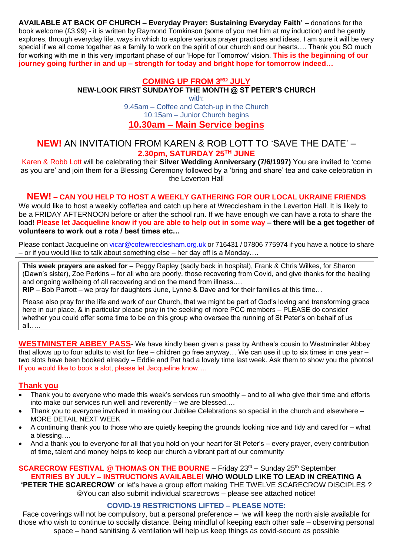**AVAILABLE AT BACK OF CHURCH – Everyday Prayer: Sustaining Everyday Faith' –** donations for the book welcome (£3.99) - it is written by Raymond Tomkinson (some of you met him at my induction) and he gently explores, through everyday life, ways in which to explore various prayer practices and ideas. I am sure it will be very special if we all come together as a family to work on the spirit of our church and our hearts…. Thank you SO much for working with me in this very important phase of our 'Hope for Tomorrow' vision. **This is the beginning of our journey going further in and up – strength for today and bright hope for tomorrow indeed…**

# **COMING UP FROM 3RD JULY**

**NEW-LOOK FIRST SUNDAYOF THE MONTH @ ST PETER'S CHURCH**

with:

9.45am – Coffee and Catch-up in the Church 10.15am – Junior Church begins

### **10.30am – Main Service begins**

# **NEW!** AN INVITATION FROM KAREN & ROB LOTT TO 'SAVE THE DATE' – **2.30pm, SATURDAY 25TH JUNE**

Karen & Robb Lott will be celebrating their **Silver Wedding Anniversary (7/6/1997)** You are invited to 'come as you are' and join them for a Blessing Ceremony followed by a 'bring and share' tea and cake celebration in the Leverton Hall

### **NEW! – CAN YOU HELP TO HOST A WEEKLY GATHERING FOR OUR LOCAL UKRAINE FRIENDS**

We would like to host a weekly coffe/tea and catch up here at Wrecclesham in the Leverton Hall. It is likely to be a FRIDAY AFTERNOON before or after the school run. If we have enough we can have a rota to share the load! **Please let Jacqueline know if you are able to help out in some way – there will be a get together of volunteers to work out a rota / best times etc…**

Please contact Jacqueline on [vicar@cofewrecclesham.org.uk](mailto:vicar@cofewrecclesham.org.uk) or 716431 / 07806 775974 if you have a notice to share – or if you would like to talk about something else – her day off is a Monday….

**This week prayers are asked for** – Peggy Rapley (sadly back in hospital), Frank & Chris Wilkes, for Sharon (Dawn's sister), Zoe Perkins – for all who are poorly, those recovering from Covid, and give thanks for the healing and ongoing wellbeing of all recovering and on the mend from illness….

**RIP** – Bob Parrott – we pray for daughters June, Lynne & Dave and for their families at this time…

Please also pray for the life and work of our Church, that we might be part of God's loving and transforming grace here in our place, & in particular please pray in the seeking of more PCC members – PLEASE do consider whether you could offer some time to be on this group who oversee the running of St Peter's on behalf of us all…..

**WESTMINSTER ABBEY PASS**- We have kindly been given a pass by Anthea's cousin to Westminster Abbey that allows up to four adults to visit for free – children go free anyway… We can use it up to six times in one year – two slots have been booked already – Eddie and Pat had a lovely time last week. Ask them to show you the photos! If you would like to book a slot, please let Jacqueline know….

### **Thank you**

- Thank you to everyone who made this week's services run smoothly and to all who give their time and efforts into make our services run well and reverently – we are blessed….
- Thank you to everyone involved in making our Jubilee Celebrations so special in the church and elsewhere MORE DETAIL NEXT WEEK
- A continuing thank you to those who are quietly keeping the grounds looking nice and tidy and cared for what a blessing….
- And a thank you to everyone for all that you hold on your heart for St Peter's every prayer, every contribution of time, talent and money helps to keep our church a vibrant part of our community

# **SCARECROW FESTIVAL @ THOMAS ON THE BOURNE** – Friday 23<sup>rd</sup> – Sunday 25<sup>th</sup> September **ENTRIES BY JULY – INSTRUCTIONS AVAILABLE! WHO WOULD LIKE TO LEAD IN CREATING A**

**'PETER THE SCARECROW**' or let's have a group effort making THE TWELVE SCARECROW DISCIPLES ? ☺You can also submit individual scarecrows – please see attached notice!

### **COVID-19 RESTRICTIONS LIFTED – PLEASE NOTE:**

Face coverings will not be compulsory, but a personal preference – we will keep the north aisle available for those who wish to continue to socially distance. Being mindful of keeping each other safe – observing personal space – hand sanitising & ventilation will help us keep things as covid-secure as possible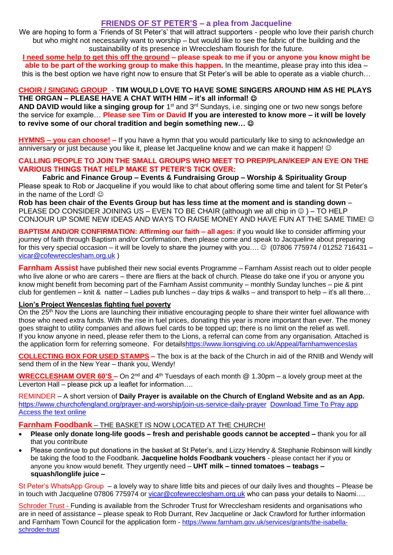# **FRIENDS OF ST PETER'S – a plea from Jacqueline**

We are hoping to form a 'Friends of St Peter's' that will attract supporters - people who love their parish church but who might not necessarily want to worship – but would like to see the fabric of the building and the sustainability of its presence in Wrecclesham flourish for the future.

**I need some help to get this off the ground – please speak to me if you or anyone you know might be able to be part of the working group to make this happen.** In the meantime, please pray into this idea – this is the best option we have right now to ensure that St Peter's will be able to operate as a viable church…

### **CHOIR / SINGING GROUP** - **TIM WOULD LOVE TO HAVE SOME SINGERS AROUND HIM AS HE PLAYS THE ORGAN – PLEASE HAVE A CHAT WITH HIM – it's all informal!** ☺

AND DAVID would like a singing group for 1<sup>st</sup> and 3<sup>rd</sup> Sundays, i.e. singing one or two new songs before the service for example… **Please see Tim or David If you are interested to know more – it will be lovely to revive some of our choral tradition and begin something new…** ☺

**HYMNS – you can choose! –** If you have a hymn that you would particularly like to sing to acknowledge an anniversary or just because you like it, please let Jacqueline know and we can make it happen! ©

### **CALLING PEOPLE TO JOIN THE SMALL GROUPS WHO MEET TO PREP/PLAN/KEEP AN EYE ON THE VARIOUS THINGS THAT HELP MAKE ST PETER'S TICK OVER:**

**Fabric and Finance Group – Events & Fundraising Group – Worship & Spirituality Group** Please speak to Rob or Jacqueline if you would like to chat about offering some time and talent for St Peter's in the name of the Lord!  $\odot$ 

**Rob has been chair of the Events Group but has less time at the moment and is standing down** – PLEASE DO CONSIDER JOINING US – EVEN TO BE CHAIR (although we all chip in ☺ ) – TO HELP CONJOUR UP SOME NEW IDEAS AND WAYS TO RAISE MONEY AND HAVE FUN AT THE SAME TIME! ©

**BAPTISM AND/OR CONFIRMATION: Affirming our faith – all ages:** if you would like to consider affirming your journey of faith through Baptism and/or Confirmation, then please come and speak to Jacqueline about preparing for this very special occasion – it will be lovely to share the journey with you....  $\circledcirc$  (07806 775974 / 01252 716431 – [vicar@cofewrecclesham.org.uk](mailto:vicar@cofewrecclesham.org.uk) )

**Farnham Assist** have published their new social events Programme – Farnham Assist reach out to older people who live alone or who are carers – there are fliers at the back of church. Please do take one if you or anyone you know might benefit from becoming part of the Farnham Assist community – monthly Sunday lunches – pie & pint club for gentlemen – knit & natter – Ladies pub lunches – day trips & walks – and transport to help – it's all there...

### **Lion's Project Wenceslas fighting fuel poverty**

On the 25<sup>th</sup> Nov the Lions are launching their initiative encouraging people to share their winter fuel allowance with those who need extra funds. With the rise in fuel prices, donating this year is more important than ever. The money goes straight to utility companies and allows fuel cards to be topped up; there is no limit on the relief as well. If you know anyone in need, please refer them to the Lions, a referral can come from any organisation. Attached is the application form for referring someone. For detail[shttps://www.lionsgiving.co.uk/Appeal/farnhamwenceslas](https://www.lionsgiving.co.uk/Appeal/farnhamwenceslas)

**COLLECTING BOX FOR USED STAMPS –** The box is at the back of the Church in aid of the RNIB and Wendy will send them of in the New Year – thank you, Wendy!

**WRECCLESHAM OVER 60'S –** On 2<sup>nd</sup> and 4<sup>th</sup> Tuesdays of each month @ 1.30pm – a lovely group meet at the Leverton Hall – please pick up a leaflet for information….

REMINDER – A short version of **Daily Prayer is available on the Church of England Website and as an App.** <https://www.churchofengland.org/prayer-and-worship/join-us-service-daily-prayer> [Download Time To Pray app](https://www.chpublishing.co.uk/apps/time-to-pray)  [Access the text online](https://www.churchofengland.org/prayer-and-worship/join-us-in-daily-prayer/prayer-during-day-contemporary-Saturday-30-January-2021)

### **Farnham Foodbank** – THE BASKET IS NOW LOCATED AT THE CHURCH!

- **Please only donate long-life goods – fresh and perishable goods cannot be accepted –** thank you for all that you contribute
- Please continue to put donations in the basket at St Peter's, and Lizzy Hendry & Stephanie Robinson will kindly be taking the food to the Foodbank. **Jacqueline holds Foodbank vouchers** - please contact her if you or anyone you know would benefit. They urgently need – **UHT milk – tinned tomatoes – teabags – squash/longlife juice –**

St Peter's WhatsApp Group – a lovely way to share little bits and pieces of our daily lives and thoughts – Please be in touch with Jacqueline 07806 775974 or [vicar@cofewrecclesham.org.uk](mailto:vicar@cofewrecclesham.org.uk) who can pass your details to Naomi....

Schroder Trust - Funding is available from the Schroder Trust for Wrecclesham residents and organisations who are in need of assistance – please speak to Rob Durrant, Rev Jacqueline or Jack Crawford for further information and Farnham Town Council for the application form - [https://www.farnham.gov.uk/services/grants/the-isabella](https://www.farnham.gov.uk/services/grants/the-isabella-schroder-trust)[schroder-trust](https://www.farnham.gov.uk/services/grants/the-isabella-schroder-trust)